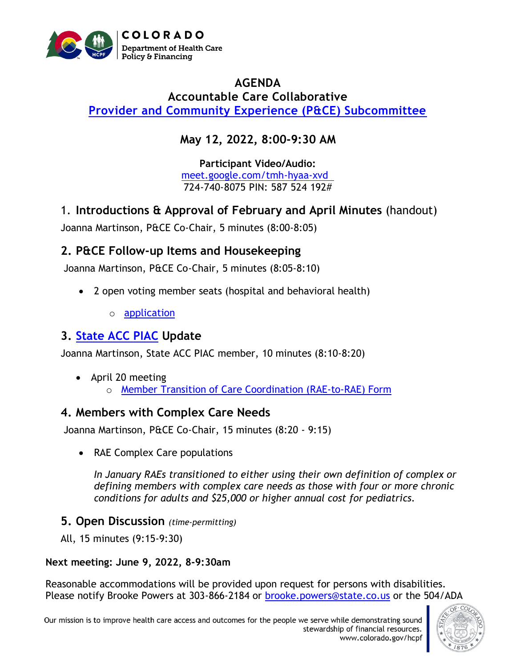

## **AGENDA Accountable Care Collaborative [Provider and Community Experience \(P&CE\) Subcommittee](https://hcpf.colorado.gov/provider-and-community-experience-subcommittee)**

# **May 12, 2022, 8:00-9:30 AM**

**Participant Video/Audio:** [meet.google.com/tmh-hyaa-xvd](http://meet.google.com/tmh-hyaa-xvd)  724-740-8075 PIN: 587 524 192#

1. **Introductions & Approval of February and April Minutes** (handout)

Joanna Martinson, P&CE Co-Chair, 5 minutes (8:00-8:05)

## **2. P&CE Follow-up Items and Housekeeping**

Joanna Martinson, P&CE Co-Chair, 5 minutes (8:05-8:10)

- 2 open voting member seats (hospital and behavioral health)
	- o [application](https://docs.google.com/forms/d/e/1FAIpQLSf_Vli4tbXwRB40CbK6RvopPq2ab3ThM2MBKpdX5TjIrXlw1A/viewform)

## **3. [State ACC PIAC](https://www.colorado.gov/pacific/hcpf/accountable-care-collaborative-program-improvement-advisory-committee) Update**

Joanna Martinson, State ACC PIAC member, 10 minutes (8:10-8:20)

• April 20 meeting o [Member Transition of Care Coordination \(RAE-to-RAE\) Form](https://hcpf.colorado.gov/sites/hcpf/files/Provider%20and%20Community%20Experience%20PIAC%20Subcommittee%20Member%20Transition%20of%20Care%20Coordination%20%28RAE%20to%20RAE%29%20Form%20April%202021.pdf)

## **4. Members with Complex Care Needs**

Joanna Martinson, P&CE Co-Chair, 15 minutes (8:20 - 9:15)

• RAE Complex Care populations

*In January RAEs transitioned to either using their own definition of complex or defining members with complex care needs as those with four or more chronic conditions for adults and \$25,000 or higher annual cost for pediatrics.* 

## **5. Open Discussion** *(time-permitting)*

All, 15 minutes (9:15-9:30)

#### **Next meeting: June 9, 2022, 8-9:30am**

Reasonable accommodations will be provided upon request for persons with disabilities. Please notify Brooke Powers at 303-866-2184 or [brooke.powers@state.co.us](mailto:brooke.powers@state.co.us) or the 504/ADA